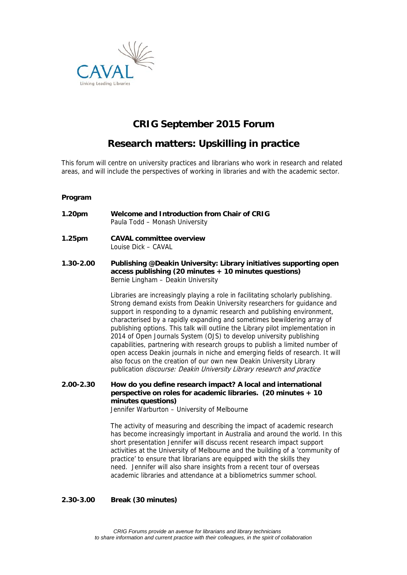

# **CRIG September 2015 Forum**

# **Research matters: Upskilling in practice**

This forum will centre on university practices and librarians who work in research and related areas, and will include the perspectives of working in libraries and with the academic sector.

### **Program**

- **1.20pm Welcome and Introduction from Chair of CRIG** Paula Todd – Monash University
- **1.25pm CAVAL committee overview** Louise Dick – CAVAL
- **1.30-2.00 Publishing @Deakin University: Library initiatives supporting open access publishing (20 minutes + 10 minutes questions)**  Bernie Lingham – Deakin University

Libraries are increasingly playing a role in facilitating scholarly publishing. Strong demand exists from Deakin University researchers for guidance and support in responding to a dynamic research and publishing environment, characterised by a rapidly expanding and sometimes bewildering array of publishing options. This talk will outline the Library pilot implementation in 2014 of Open Journals System (OJS) to develop university publishing capabilities, partnering with research groups to publish a limited number of open access Deakin journals in niche and emerging fields of research. It will also focus on the creation of our own new Deakin University Library publication discourse: Deakin University Library research and practice

**2.00-2.30 How do you define research impact? A local and international perspective on roles for academic libraries. (20 minutes + 10 minutes questions)**

Jennifer Warburton – University of Melbourne

The activity of measuring and describing the impact of academic research has become increasingly important in Australia and around the world. In this short presentation Jennifer will discuss recent research impact support activities at the University of Melbourne and the building of a 'community of practice' to ensure that librarians are equipped with the skills they need. Jennifer will also share insights from a recent tour of overseas academic libraries and attendance at a bibliometrics summer school.

#### **2.30-3.00 Break (30 minutes)**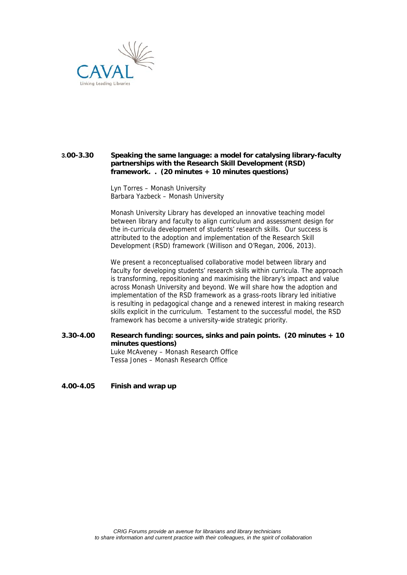

### **3.00-3.30 Speaking the same language: a model for catalysing library-faculty partnerships with the Research Skill Development (RSD) framework. . (20 minutes + 10 minutes questions)**

Lyn Torres – Monash University Barbara Yazbeck – Monash University

Monash University Library has developed an innovative teaching model between library and faculty to align curriculum and assessment design for the in-curricula development of students' research skills. Our success is attributed to the adoption and implementation of the Research Skill Development (RSD) framework (Willison and O'Regan, 2006, 2013).

We present a reconceptualised collaborative model between library and faculty for developing students' research skills within curricula. The approach is transforming, repositioning and maximising the library's impact and value across Monash University and beyond. We will share how the adoption and implementation of the RSD framework as a grass-roots library led initiative is resulting in pedagogical change and a renewed interest in making research skills explicit in the curriculum. Testament to the successful model, the RSD framework has become a university-wide strategic priority.

- **3.30-4.00 Research funding: sources, sinks and pain points. (20 minutes + 10 minutes questions)** Luke McAveney – Monash Research Office Tessa Jones – Monash Research Office
- **4.00-4.05 Finish and wrap up**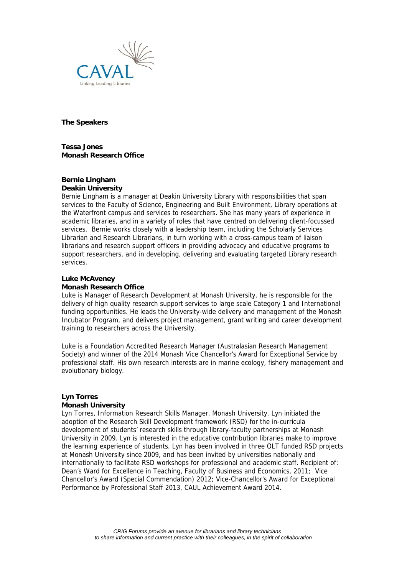

**The Speakers** 

**Tessa Jones Monash Research Office** 

#### **Bernie Lingham Deakin University**

Bernie Lingham is a manager at Deakin University Library with responsibilities that span services to the Faculty of Science, Engineering and Built Environment, Library operations at the Waterfront campus and services to researchers. She has many years of experience in academic libraries, and in a variety of roles that have centred on delivering client-focussed services. Bernie works closely with a leadership team, including the Scholarly Services Librarian and Research Librarians, in turn working with a cross-campus team of liaison librarians and research support officers in providing advocacy and educative programs to support researchers, and in developing, delivering and evaluating targeted Library research services.

### **Luke McAveney**

#### **Monash Research Office**

Luke is Manager of Research Development at Monash University, he is responsible for the delivery of high quality research support services to large scale Category 1 and International funding opportunities. He leads the University-wide delivery and management of the Monash Incubator Program, and delivers project management, grant writing and career development training to researchers across the University.

Luke is a Foundation Accredited Research Manager (Australasian Research Management Society) and winner of the 2014 Monash Vice Chancellor's Award for Exceptional Service by professional staff. His own research interests are in marine ecology, fishery management and evolutionary biology.

## **Lyn Torres**

#### **Monash University**

Lyn Torres, Information Research Skills Manager, Monash University. Lyn initiated the adoption of the Research Skill Development framework (RSD) for the in-curricula development of students' research skills through library-faculty partnerships at Monash University in 2009. Lyn is interested in the educative contribution libraries make to improve the learning experience of students. Lyn has been involved in three OLT funded RSD projects at Monash University since 2009, and has been invited by universities nationally and internationally to facilitate RSD workshops for professional and academic staff. Recipient of: Dean's Ward for Excellence in Teaching, Faculty of Business and Economics, 2011; Vice Chancellor's Award (Special Commendation) 2012; Vice-Chancellor's Award for Exceptional Performance by Professional Staff 2013, CAUL Achievement Award 2014.